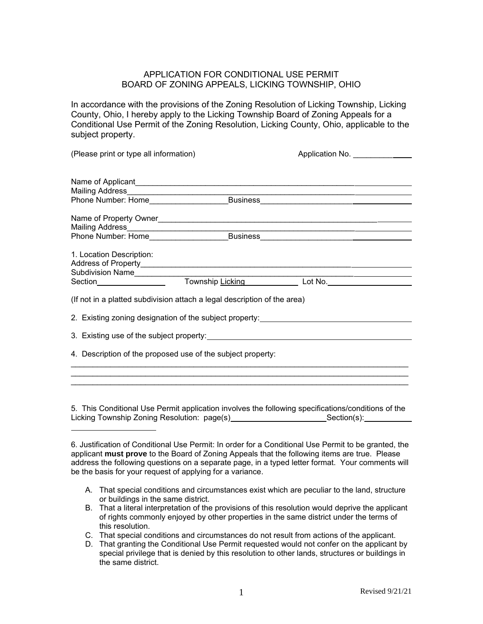## APPLICATION FOR CONDITIONAL USE PERMIT BOARD OF ZONING APPEALS, LICKING TOWNSHIP, OHIO

In accordance with the provisions of the Zoning Resolution of Licking Township, Licking County, Ohio, I hereby apply to the Licking Township Board of Zoning Appeals for a Conditional Use Permit of the Zoning Resolution, Licking County, Ohio, applicable to the subject property.

(Please print or type all information) **Application No. Application No.** *\_\_\_\_\_\_* Name of Applicant\_\_\_\_\_\_\_\_\_\_\_\_\_\_\_\_\_\_\_\_\_\_\_\_\_\_\_\_\_\_\_\_\_\_\_\_\_\_\_\_\_\_\_\_\_\_\_\_\_\_ Mailing Address\_\_\_\_\_\_\_\_\_\_\_\_\_\_\_\_\_\_\_\_\_\_\_\_\_\_\_\_\_\_\_\_\_\_\_\_\_\_\_\_\_\_\_\_\_\_\_\_\_\_\_\_ Phone Number: Home\_\_\_\_\_\_\_\_\_\_\_\_\_\_\_\_\_\_\_\_Business\_\_\_\_\_\_\_\_\_\_\_\_\_\_\_\_\_\_\_\_\_\_\_ Name of Property Owner\_\_\_\_\_\_\_\_\_\_\_\_\_\_\_\_\_\_\_\_\_\_\_\_\_\_\_\_\_\_\_\_\_\_\_\_\_\_\_\_\_\_\_\_\_\_\_\_\_\_ Mailing Address\_\_\_\_\_\_\_\_\_\_\_\_\_\_\_\_\_\_\_\_\_\_\_\_\_\_\_\_\_\_\_\_\_\_\_\_\_\_\_\_\_\_\_\_\_\_\_\_\_\_\_\_ Phone Number: Home\_\_\_\_\_\_\_\_\_\_\_\_\_\_\_\_\_\_\_\_Business\_\_\_\_\_\_\_\_\_\_\_\_\_\_\_\_\_\_\_\_\_\_\_ 1. Location Description: Address of Property\_\_\_\_\_\_\_\_\_\_\_\_\_\_\_\_\_\_\_\_\_\_\_\_\_\_\_\_\_\_\_\_\_\_\_\_\_\_\_\_\_\_\_\_\_\_\_\_ Subdivision Name\_\_\_\_\_\_\_\_\_\_\_\_\_\_\_\_\_\_\_\_\_\_\_\_\_\_\_\_\_\_\_\_\_\_\_\_\_\_\_\_\_\_\_\_\_\_\_\_\_\_ Section\_\_\_\_\_\_\_\_\_\_\_\_\_\_\_\_\_ Township <u>Licking \_\_\_\_\_\_\_\_\_\_\_</u> Lot No.\_\_\_\_\_\_\_\_\_\_\_\_\_\_\_\_ (If not in a platted subdivision attach a legal description of the area) 2. Existing zoning designation of the subject property:<br>
<u>
</u> 3. Existing use of the subject property: 4. Description of the proposed use of the subject property:

5. This Conditional Use Permit application involves the following specifications/conditions of the Licking Township Zoning Resolution: page(s)\_\_\_\_\_\_\_\_\_\_\_\_\_\_\_\_\_\_\_\_\_\_\_\_\_Section(s):\_\_\_\_\_\_\_\_\_\_\_\_

\_\_\_\_\_\_\_\_\_\_\_\_\_\_\_\_\_\_\_\_\_\_\_\_\_\_\_\_\_\_\_\_\_\_\_\_\_\_\_\_\_\_\_\_\_\_\_\_\_\_\_\_\_\_\_\_\_\_\_\_\_\_\_\_\_\_\_\_\_\_\_\_\_\_\_\_\_

\_\_\_\_\_\_\_\_\_\_\_\_\_\_\_\_\_\_\_\_\_\_\_\_\_\_\_\_\_\_\_\_\_\_\_\_\_\_\_\_\_\_\_\_\_\_\_\_\_\_\_\_\_\_\_\_\_\_\_\_\_\_\_\_\_\_\_\_\_\_\_\_\_\_\_\_\_

- A. That special conditions and circumstances exist which are peculiar to the land, structure or buildings in the same district.
- B. That a literal interpretation of the provisions of this resolution would deprive the applicant of rights commonly enjoyed by other properties in the same district under the terms of this resolution.
- C. That special conditions and circumstances do not result from actions of the applicant.
- D. That granting the Conditional Use Permit requested would not confer on the applicant by special privilege that is denied by this resolution to other lands, structures or buildings in the same district.

<sup>6.</sup> Justification of Conditional Use Permit: In order for a Conditional Use Permit to be granted, the applicant **must prove** to the Board of Zoning Appeals that the following items are true. Please address the following questions on a separate page, in a typed letter format. Your comments will be the basis for your request of applying for a variance.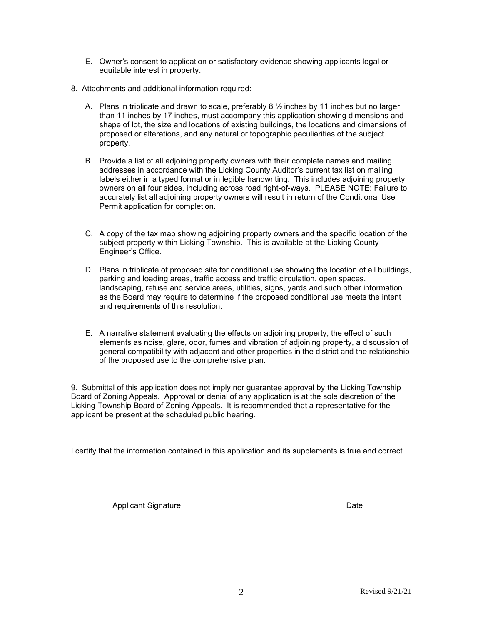- E. Owner's consent to application or satisfactory evidence showing applicants legal or equitable interest in property.
- 8. Attachments and additional information required:
	- A. Plans in triplicate and drawn to scale, preferably 8  $\frac{1}{2}$  inches by 11 inches but no larger than 11 inches by 17 inches, must accompany this application showing dimensions and shape of lot, the size and locations of existing buildings, the locations and dimensions of proposed or alterations, and any natural or topographic peculiarities of the subject property.
	- B. Provide a list of all adjoining property owners with their complete names and mailing addresses in accordance with the Licking County Auditor's current tax list on mailing labels either in a typed format or in legible handwriting. This includes adjoining property owners on all four sides, including across road right-of-ways. PLEASE NOTE: Failure to accurately list all adjoining property owners will result in return of the Conditional Use Permit application for completion.
	- C. A copy of the tax map showing adjoining property owners and the specific location of the subject property within Licking Township. This is available at the Licking County Engineer's Office.
	- D. Plans in triplicate of proposed site for conditional use showing the location of all buildings, parking and loading areas, traffic access and traffic circulation, open spaces, landscaping, refuse and service areas, utilities, signs, yards and such other information as the Board may require to determine if the proposed conditional use meets the intent and requirements of this resolution.
	- E. A narrative statement evaluating the effects on adjoining property, the effect of such elements as noise, glare, odor, fumes and vibration of adjoining property, a discussion of general compatibility with adjacent and other properties in the district and the relationship of the proposed use to the comprehensive plan.

9. Submittal of this application does not imply nor guarantee approval by the Licking Township Board of Zoning Appeals. Approval or denial of any application is at the sole discretion of the Licking Township Board of Zoning Appeals. It is recommended that a representative for the applicant be present at the scheduled public hearing.

I certify that the information contained in this application and its supplements is true and correct.

Applicant Signature Date Date Date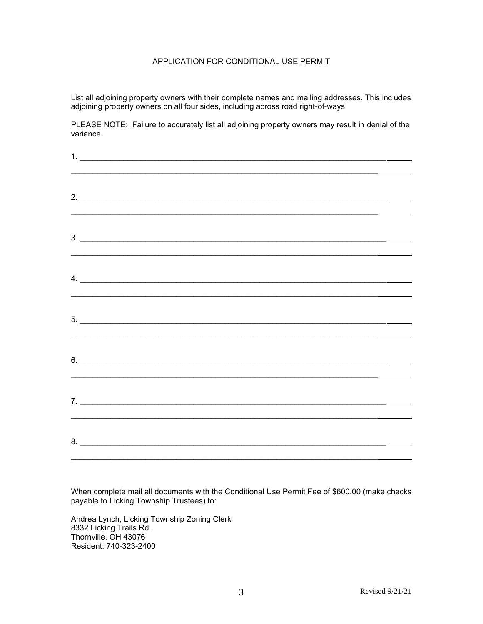## APPLICATION FOR CONDITIONAL USE PERMIT

List all adjoining property owners with their complete names and mailing addresses. This includes adjoining property owners on all four sides, including across road right-of-ways.

PLEASE NOTE: Failure to accurately list all adjoining property owners may result in denial of the variance.

| 2.                            |  |
|-------------------------------|--|
|                               |  |
|                               |  |
| $3.$ $\overline{\phantom{a}}$ |  |
|                               |  |
| $\overline{a}$ .              |  |
|                               |  |
| $5.$ $\overline{\phantom{a}}$ |  |
|                               |  |
|                               |  |
| $6.$ $\overline{\phantom{a}}$ |  |
|                               |  |
|                               |  |
|                               |  |
|                               |  |
| 8.                            |  |

When complete mail all documents with the Conditional Use Permit Fee of \$600.00 (make checks payable to Licking Township Trustees) to:

Andrea Lynch, Licking Township Zoning Clerk 8332 Licking Trails Rd. Thornville, OH 43076 Resident: 740-323-2400